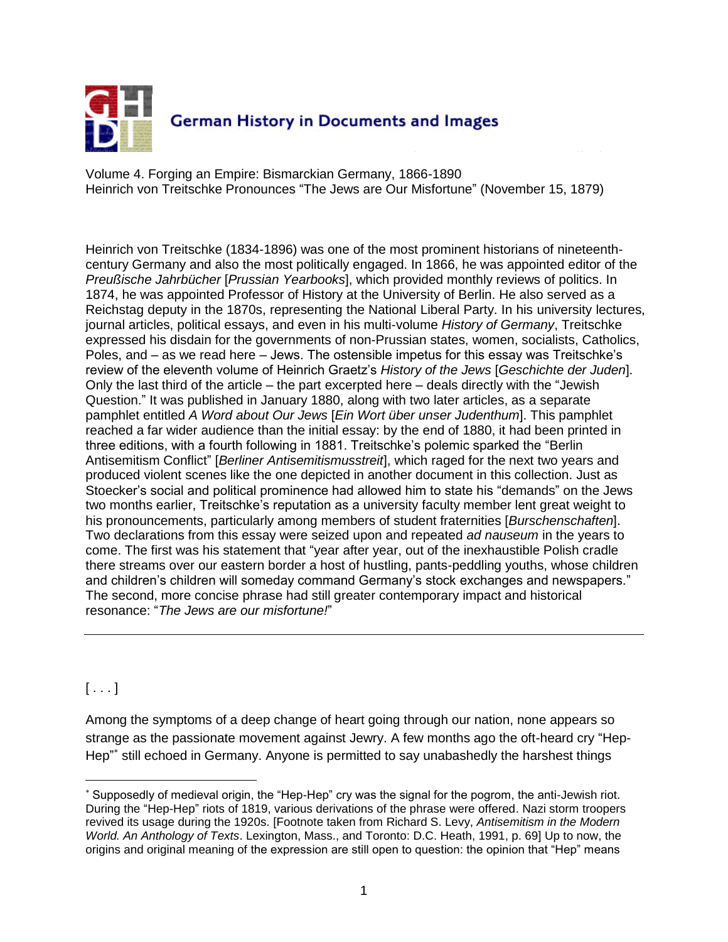

Volume 4. Forging an Empire: Bismarckian Germany, 1866-1890 Heinrich von Treitschke Pronounces "The Jews are Our Misfortune" (November 15, 1879)

Heinrich von Treitschke (1834-1896) was one of the most prominent historians of nineteenthcentury Germany and also the most politically engaged. In 1866, he was appointed editor of the *Preußische Jahrbücher* [*Prussian Yearbooks*], which provided monthly reviews of politics. In 1874, he was appointed Professor of History at the University of Berlin. He also served as a Reichstag deputy in the 1870s, representing the National Liberal Party. In his university lectures, journal articles, political essays, and even in his multi-volume *History of Germany*, Treitschke expressed his disdain for the governments of non-Prussian states, women, socialists, Catholics, Poles, and – as we read here – Jews. The ostensible impetus for this essay was Treitschke's review of the eleventh volume of Heinrich Graetz's *History of the Jews* [*Geschichte der Juden*]. Only the last third of the article – the part excerpted here – deals directly with the "Jewish" Question.‖ It was published in January 1880, along with two later articles, as a separate pamphlet entitled *A Word about Our Jews* [*Ein Wort über unser Judenthum*]. This pamphlet reached a far wider audience than the initial essay: by the end of 1880, it had been printed in three editions, with a fourth following in 1881. Treitschke's polemic sparked the "Berlin Antisemitism Conflict‖ [*Berliner Antisemitismusstreit*], which raged for the next two years and produced violent scenes like the one depicted in another document in this collection. Just as Stoecker's social and political prominence had allowed him to state his "demands" on the Jews two months earlier, Treitschke's reputation as a university faculty member lent great weight to his pronouncements, particularly among members of student fraternities [*Burschenschaften*]. Two declarations from this essay were seized upon and repeated *ad nauseum* in the years to come. The first was his statement that "year after year, out of the inexhaustible Polish cradle there streams over our eastern border a host of hustling, pants-peddling youths, whose children and children's children will someday command Germany's stock exchanges and newspapers." The second, more concise phrase had still greater contemporary impact and historical resonance: "The Jews are our misfortune!"

## $[ \ldots ]$

 $\overline{a}$ 

Among the symptoms of a deep change of heart going through our nation, none appears so strange as the passionate movement against Jewry. A few months ago the oft-heard cry "Hep-Hep"\* still echoed in Germany. Anyone is permitted to say unabashedly the harshest things

<sup>\*</sup> Supposedly of medieval origin, the "Hep-Hep" cry was the signal for the pogrom, the anti-Jewish riot. During the "Hep-Hep" riots of 1819, various derivations of the phrase were offered. Nazi storm troopers revived its usage during the 1920s. [Footnote taken from Richard S. Levy, *Antisemitism in the Modern World. An Anthology of Texts*. Lexington, Mass., and Toronto: D.C. Heath, 1991, p. 69] Up to now, the origins and original meaning of the expression are still open to question: the opinion that "Hep" means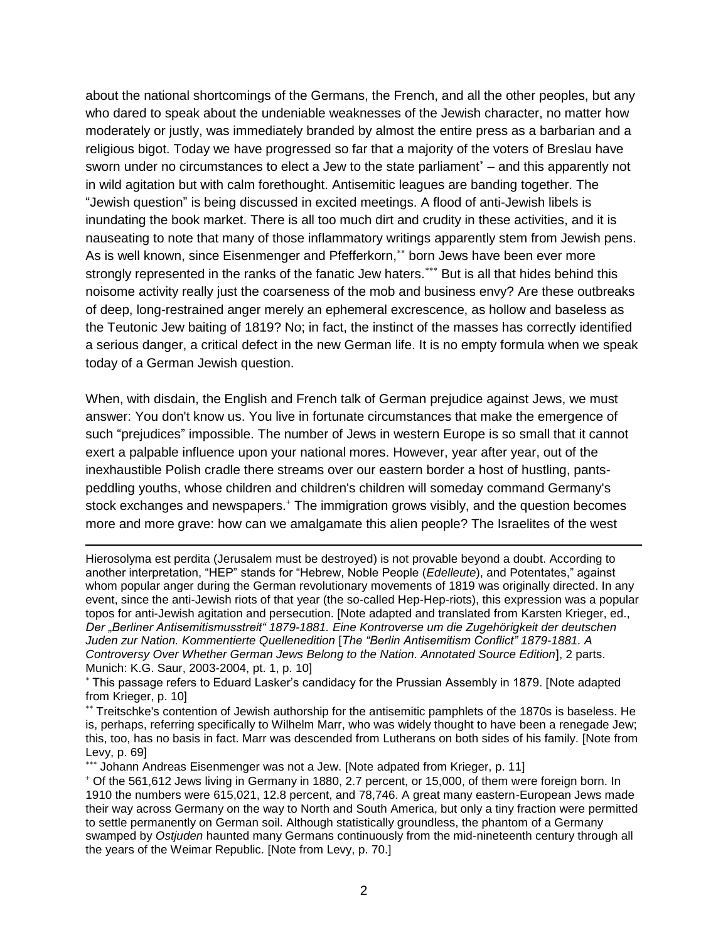about the national shortcomings of the Germans, the French, and all the other peoples, but any who dared to speak about the undeniable weaknesses of the Jewish character, no matter how moderately or justly, was immediately branded by almost the entire press as a barbarian and a religious bigot. Today we have progressed so far that a majority of the voters of Breslau have sworn under no circumstances to elect a Jew to the state parliament<sup>\*</sup> – and this apparently not in wild agitation but with calm forethought. Antisemitic leagues are banding together. The "Jewish question" is being discussed in excited meetings. A flood of anti-Jewish libels is inundating the book market. There is all too much dirt and crudity in these activities, and it is nauseating to note that many of those inflammatory writings apparently stem from Jewish pens. As is well known, since Eisenmenger and Pfefferkorn,\*\* born Jews have been ever more strongly represented in the ranks of the fanatic Jew haters.<sup>\*\*\*</sup> But is all that hides behind this noisome activity really just the coarseness of the mob and business envy? Are these outbreaks of deep, long-restrained anger merely an ephemeral excrescence, as hollow and baseless as the Teutonic Jew baiting of 1819? No; in fact, the instinct of the masses has correctly identified a serious danger, a critical defect in the new German life. It is no empty formula when we speak today of a German Jewish question.

When, with disdain, the English and French talk of German prejudice against Jews, we must answer: You don't know us. You live in fortunate circumstances that make the emergence of such "prejudices" impossible. The number of Jews in western Europe is so small that it cannot exert a palpable influence upon your national mores. However, year after year, out of the inexhaustible Polish cradle there streams over our eastern border a host of hustling, pantspeddling youths, whose children and children's children will someday command Germany's stock exchanges and newspapers.<sup>+</sup> The immigration grows visibly, and the question becomes more and more grave: how can we amalgamate this alien people? The Israelites of the west

Hierosolyma est perdita (Jerusalem must be destroyed) is not provable beyond a doubt. According to another interpretation, "HEP" stands for "Hebrew, Noble People (*Edelleute*), and Potentates," against whom popular anger during the German revolutionary movements of 1819 was originally directed. In any event, since the anti-Jewish riots of that year (the so-called Hep-Hep-riots), this expression was a popular topos for anti-Jewish agitation and persecution. [Note adapted and translated from Karsten Krieger, ed., *Der "Berliner Antisemitismusstreit" 1879-1881. Eine Kontroverse um die Zugehörigkeit der deutschen Juden zur Nation. Kommentierte Quellenedition* [*The "Berlin Antisemitism Conflict" 1879-1881. A Controversy Over Whether German Jews Belong to the Nation. Annotated Source Edition*], 2 parts. Munich: K.G. Saur, 2003-2004, pt. 1, p. 10]

 This passage refers to Eduard Lasker's candidacy for the Prussian Assembly in 1879. [Note adapted from Krieger, p. 10]

 Treitschke's contention of Jewish authorship for the antisemitic pamphlets of the 1870s is baseless. He is, perhaps, referring specifically to Wilhelm Marr, who was widely thought to have been a renegade Jew; this, too, has no basis in fact. Marr was descended from Lutherans on both sides of his family. [Note from Levy, p. 69]

\*\*\* Johann Andreas Eisenmenger was not a Jew. [Note adpated from Krieger, p. 11]

 $\overline{a}$ 

Of the 561,612 Jews living in Germany in 1880, 2.7 percent, or 15,000, of them were foreign born. In 1910 the numbers were 615,021, 12.8 percent, and 78,746. A great many eastern-European Jews made their way across Germany on the way to North and South America, but only a tiny fraction were permitted to settle permanently on German soil. Although statistically groundless, the phantom of a Germany swamped by *Ostjuden* haunted many Germans continuously from the mid-nineteenth century through all the years of the Weimar Republic. [Note from Levy, p. 70.]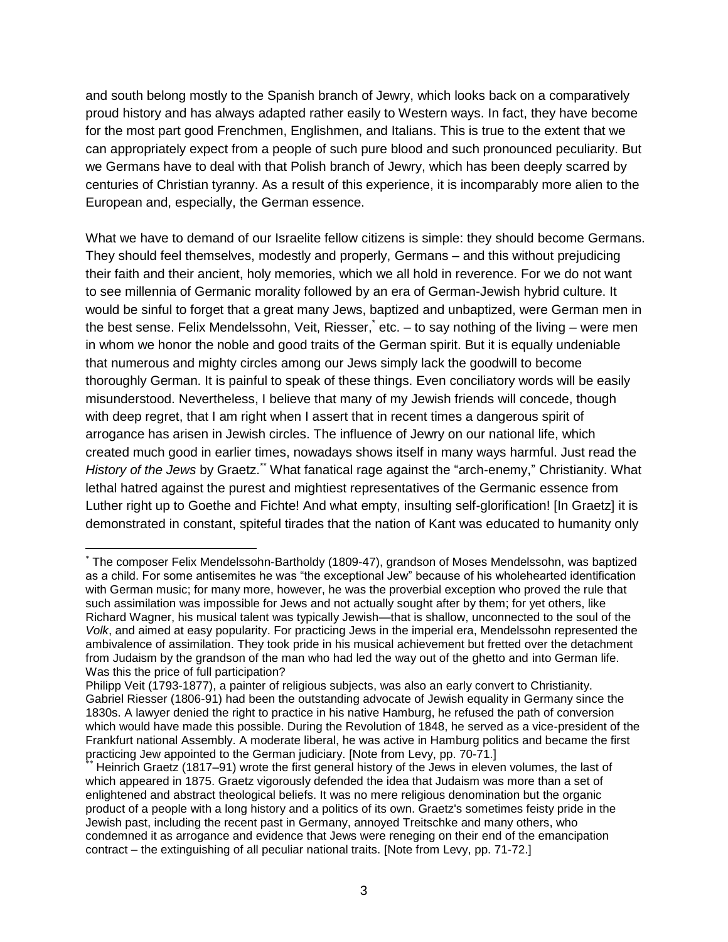and south belong mostly to the Spanish branch of Jewry, which looks back on a comparatively proud history and has always adapted rather easily to Western ways. In fact, they have become for the most part good Frenchmen, Englishmen, and Italians. This is true to the extent that we can appropriately expect from a people of such pure blood and such pronounced peculiarity. But we Germans have to deal with that Polish branch of Jewry, which has been deeply scarred by centuries of Christian tyranny. As a result of this experience, it is incomparably more alien to the European and, especially, the German essence.

What we have to demand of our Israelite fellow citizens is simple: they should become Germans. They should feel themselves, modestly and properly, Germans – and this without prejudicing their faith and their ancient, holy memories, which we all hold in reverence. For we do not want to see millennia of Germanic morality followed by an era of German-Jewish hybrid culture. It would be sinful to forget that a great many Jews, baptized and unbaptized, were German men in the best sense. Felix Mendelssohn, Veit, Riesser, etc. - to say nothing of the living - were men in whom we honor the noble and good traits of the German spirit. But it is equally undeniable that numerous and mighty circles among our Jews simply lack the goodwill to become thoroughly German. It is painful to speak of these things. Even conciliatory words will be easily misunderstood. Nevertheless, I believe that many of my Jewish friends will concede, though with deep regret, that I am right when I assert that in recent times a dangerous spirit of arrogance has arisen in Jewish circles. The influence of Jewry on our national life, which created much good in earlier times, nowadays shows itself in many ways harmful. Just read the *History of the Jews by Graetz.*\*\* What fanatical rage against the "arch-enemy," Christianity. What lethal hatred against the purest and mightiest representatives of the Germanic essence from Luther right up to Goethe and Fichte! And what empty, insulting self-glorification! [In Graetz] it is demonstrated in constant, spiteful tirades that the nation of Kant was educated to humanity only

 $\overline{a}$ 

<sup>\*</sup> The composer Felix Mendelssohn-Bartholdy (1809-47), grandson of Moses Mendelssohn, was baptized as a child. For some antisemites he was "the exceptional Jew" because of his wholehearted identification with German music; for many more, however, he was the proverbial exception who proved the rule that such assimilation was impossible for Jews and not actually sought after by them; for yet others, like Richard Wagner, his musical talent was typically Jewish—that is shallow, unconnected to the soul of the *Volk*, and aimed at easy popularity. For practicing Jews in the imperial era, Mendelssohn represented the ambivalence of assimilation. They took pride in his musical achievement but fretted over the detachment from Judaism by the grandson of the man who had led the way out of the ghetto and into German life. Was this the price of full participation?

Philipp Veit (1793-1877), a painter of religious subjects, was also an early convert to Christianity. Gabriel Riesser (1806-91) had been the outstanding advocate of Jewish equality in Germany since the 1830s. A lawyer denied the right to practice in his native Hamburg, he refused the path of conversion which would have made this possible. During the Revolution of 1848, he served as a vice-president of the Frankfurt national Assembly. A moderate liberal, he was active in Hamburg politics and became the first practicing Jew appointed to the German judiciary. [Note from Levy, pp. 70-71.]

Heinrich Graetz (1817–91) wrote the first general history of the Jews in eleven volumes, the last of which appeared in 1875. Graetz vigorously defended the idea that Judaism was more than a set of enlightened and abstract theological beliefs. It was no mere religious denomination but the organic product of a people with a long history and a politics of its own. Graetz's sometimes feisty pride in the Jewish past, including the recent past in Germany, annoyed Treitschke and many others, who condemned it as arrogance and evidence that Jews were reneging on their end of the emancipation contract – the extinguishing of all peculiar national traits. [Note from Levy, pp. 71-72.]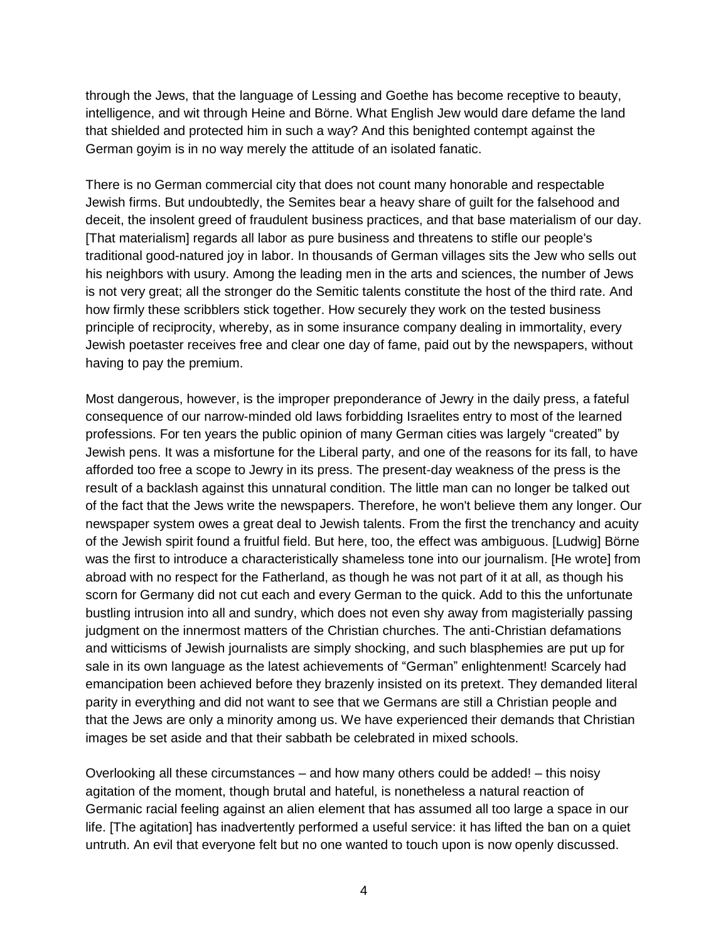through the Jews, that the language of Lessing and Goethe has become receptive to beauty, intelligence, and wit through Heine and Börne. What English Jew would dare defame the land that shielded and protected him in such a way? And this benighted contempt against the German goyim is in no way merely the attitude of an isolated fanatic.

There is no German commercial city that does not count many honorable and respectable Jewish firms. But undoubtedly, the Semites bear a heavy share of guilt for the falsehood and deceit, the insolent greed of fraudulent business practices, and that base materialism of our day. [That materialism] regards all labor as pure business and threatens to stifle our people's traditional good-natured joy in labor. In thousands of German villages sits the Jew who sells out his neighbors with usury. Among the leading men in the arts and sciences, the number of Jews is not very great; all the stronger do the Semitic talents constitute the host of the third rate. And how firmly these scribblers stick together. How securely they work on the tested business principle of reciprocity, whereby, as in some insurance company dealing in immortality, every Jewish poetaster receives free and clear one day of fame, paid out by the newspapers, without having to pay the premium.

Most dangerous, however, is the improper preponderance of Jewry in the daily press, a fateful consequence of our narrow-minded old laws forbidding Israelites entry to most of the learned professions. For ten years the public opinion of many German cities was largely "created" by Jewish pens. It was a misfortune for the Liberal party, and one of the reasons for its fall, to have afforded too free a scope to Jewry in its press. The present-day weakness of the press is the result of a backlash against this unnatural condition. The little man can no longer be talked out of the fact that the Jews write the newspapers. Therefore, he won't believe them any longer. Our newspaper system owes a great deal to Jewish talents. From the first the trenchancy and acuity of the Jewish spirit found a fruitful field. But here, too, the effect was ambiguous. [Ludwig] Börne was the first to introduce a characteristically shameless tone into our journalism. [He wrote] from abroad with no respect for the Fatherland, as though he was not part of it at all, as though his scorn for Germany did not cut each and every German to the quick. Add to this the unfortunate bustling intrusion into all and sundry, which does not even shy away from magisterially passing judgment on the innermost matters of the Christian churches. The anti-Christian defamations and witticisms of Jewish journalists are simply shocking, and such blasphemies are put up for sale in its own language as the latest achievements of "German" enlightenment! Scarcely had emancipation been achieved before they brazenly insisted on its pretext. They demanded literal parity in everything and did not want to see that we Germans are still a Christian people and that the Jews are only a minority among us. We have experienced their demands that Christian images be set aside and that their sabbath be celebrated in mixed schools.

Overlooking all these circumstances – and how many others could be added! – this noisy agitation of the moment, though brutal and hateful, is nonetheless a natural reaction of Germanic racial feeling against an alien element that has assumed all too large a space in our life. [The agitation] has inadvertently performed a useful service: it has lifted the ban on a quiet untruth. An evil that everyone felt but no one wanted to touch upon is now openly discussed.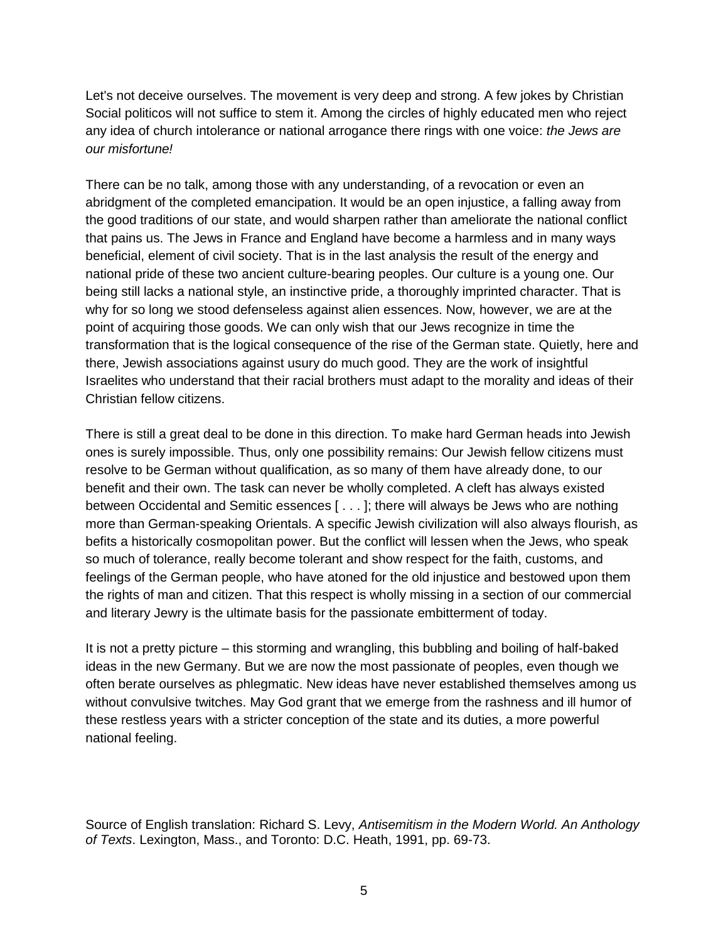Let's not deceive ourselves. The movement is very deep and strong. A few jokes by Christian Social politicos will not suffice to stem it. Among the circles of highly educated men who reject any idea of church intolerance or national arrogance there rings with one voice: *the Jews are our misfortune!*

There can be no talk, among those with any understanding, of a revocation or even an abridgment of the completed emancipation. It would be an open injustice, a falling away from the good traditions of our state, and would sharpen rather than ameliorate the national conflict that pains us. The Jews in France and England have become a harmless and in many ways beneficial, element of civil society. That is in the last analysis the result of the energy and national pride of these two ancient culture-bearing peoples. Our culture is a young one. Our being still lacks a national style, an instinctive pride, a thoroughly imprinted character. That is why for so long we stood defenseless against alien essences. Now, however, we are at the point of acquiring those goods. We can only wish that our Jews recognize in time the transformation that is the logical consequence of the rise of the German state. Quietly, here and there, Jewish associations against usury do much good. They are the work of insightful Israelites who understand that their racial brothers must adapt to the morality and ideas of their Christian fellow citizens.

There is still a great deal to be done in this direction. To make hard German heads into Jewish ones is surely impossible. Thus, only one possibility remains: Our Jewish fellow citizens must resolve to be German without qualification, as so many of them have already done, to our benefit and their own. The task can never be wholly completed. A cleft has always existed between Occidental and Semitic essences [ . . . ]; there will always be Jews who are nothing more than German-speaking Orientals. A specific Jewish civilization will also always flourish, as befits a historically cosmopolitan power. But the conflict will lessen when the Jews, who speak so much of tolerance, really become tolerant and show respect for the faith, customs, and feelings of the German people, who have atoned for the old injustice and bestowed upon them the rights of man and citizen. That this respect is wholly missing in a section of our commercial and literary Jewry is the ultimate basis for the passionate embitterment of today.

It is not a pretty picture – this storming and wrangling, this bubbling and boiling of half-baked ideas in the new Germany. But we are now the most passionate of peoples, even though we often berate ourselves as phlegmatic. New ideas have never established themselves among us without convulsive twitches. May God grant that we emerge from the rashness and ill humor of these restless years with a stricter conception of the state and its duties, a more powerful national feeling.

Source of English translation: Richard S. Levy, *Antisemitism in the Modern World. An Anthology of Texts*. Lexington, Mass., and Toronto: D.C. Heath, 1991, pp. 69-73.